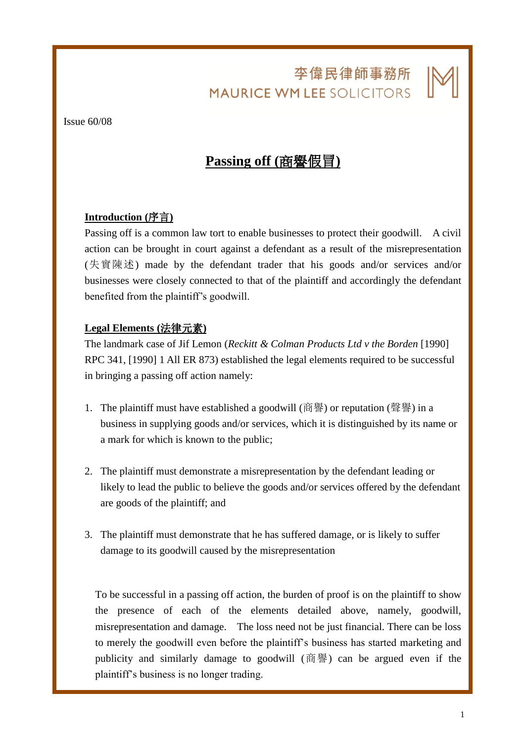# 李偉民律師事務所 **MAURICE WM LEE SOLICITORS**

L

#### Issue 60/08

## **Passing off (**商譽假冒**)**

### **Introduction (**序言**)**

Passing off is a common law tort to enable businesses to protect their goodwill. A civil action can be brought in court against a defendant as a result of the misrepresentation (失實陳述) made by the defendant trader that his goods and/or services and/or businesses were closely connected to that of the plaintiff and accordingly the defendant benefited from the plaintiff's goodwill.

#### **Legal Elements (**法律元素**)**

The landmark case of Jif Lemon (*Reckitt & Colman Products Ltd v the Borden* [1990] RPC 341, [1990] 1 All ER 873) established the legal elements required to be successful in bringing a passing off action namely:

- 1. The plaintiff must have established a goodwill (商譽) or reputation (聲譽) in a business in supplying goods and/or services, which it is distinguished by its name or a mark for which is known to the public;
- 2. The plaintiff must demonstrate a misrepresentation by the defendant leading or likely to lead the public to believe the goods and/or services offered by the defendant are goods of the plaintiff; and
- 3. The plaintiff must demonstrate that he has suffered damage, or is likely to suffer damage to its goodwill caused by the misrepresentation

To be successful in a passing off action, the burden of proof is on the plaintiff to show the presence of each of the elements detailed above, namely, goodwill, misrepresentation and damage. The loss need not be just financial. There can be loss to merely the goodwill even before the plaintiff's business has started marketing and publicity and similarly damage to goodwill (商譽) can be argued even if the plaintiff's business is no longer trading.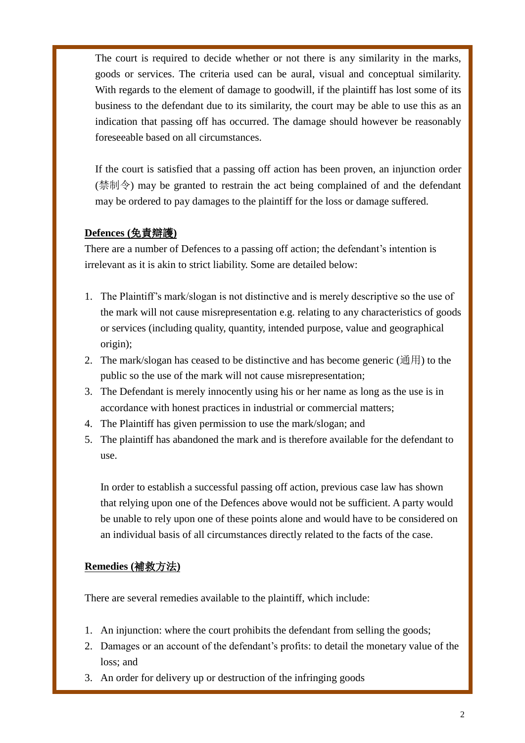The court is required to decide whether or not there is any similarity in the marks, goods or services. The criteria used can be aural, visual and conceptual similarity. With regards to the element of damage to goodwill, if the plaintiff has lost some of its business to the defendant due to its similarity, the court may be able to use this as an indication that passing off has occurred. The damage should however be reasonably foreseeable based on all circumstances.

L

If the court is satisfied that a passing off action has been proven, an injunction order (禁制令) may be granted to restrain the act being complained of and the defendant may be ordered to pay damages to the plaintiff for the loss or damage suffered.

### **Defences (**免責辯護**)**

There are a number of Defences to a passing off action; the defendant's intention is irrelevant as it is akin to strict liability. Some are detailed below:

- 1. The Plaintiff's mark/slogan is not distinctive and is merely descriptive so the use of the mark will not cause misrepresentation e.g. relating to any characteristics of goods or services (including quality, quantity, intended purpose, value and geographical origin);
- 2. The mark/slogan has ceased to be distinctive and has become generic ( $\hat{\mathcal{H}}$ ) to the public so the use of the mark will not cause misrepresentation;
- 3. The Defendant is merely innocently using his or her name as long as the use is in accordance with honest practices in industrial or commercial matters;
- 4. The Plaintiff has given permission to use the mark/slogan; and
- 5. The plaintiff has abandoned the mark and is therefore available for the defendant to use.

In order to establish a successful passing off action, previous case law has shown that relying upon one of the Defences above would not be sufficient. A party would be unable to rely upon one of these points alone and would have to be considered on an individual basis of all circumstances directly related to the facts of the case.

#### **Remedies (**補救方法**)**

There are several remedies available to the plaintiff, which include:

- 1. An injunction: where the court prohibits the defendant from selling the goods;
- 2. Damages or an account of the defendant's profits: to detail the monetary value of the loss; and
- 3. An order for delivery up or destruction of the infringing goods